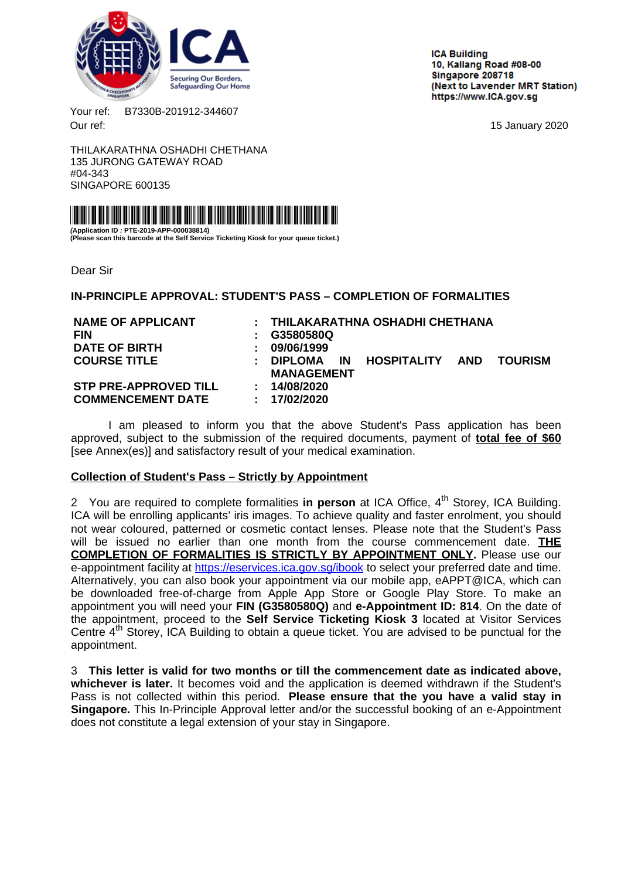<span id="page-0-0"></span>

**ICA Building** 10. Kallang Road #08-00 Singapore 208718 (Next to Lavender MRT Station) https://www.ICA.gov.sg

Your ref: B7330B-201912-344607 Our ref: 15 January 2020

THILAKARATHNA OSHADHI CHETHANA 135 JURONG GATEWAY ROAD #04-343 SINGAPORE 600135



**(Application ID : PTE-2019-APP-000038814) (Please scan this barcode at the Self Service Ticketing Kiosk for your queue ticket.)**

Dear Sir

**IN-PRINCIPLE APPROVAL: STUDENT'S PASS – COMPLETION OF FORMALITIES**

| <b>NAME OF APPLICANT</b>     |    | : THILAKARATHNA OSHADHI CHETHANA |     |                        |  |                |
|------------------------------|----|----------------------------------|-----|------------------------|--|----------------|
| <b>FIN</b>                   |    | G3580580Q                        |     |                        |  |                |
| <b>DATE OF BIRTH</b>         |    | 09/06/1999                       |     |                        |  |                |
| <b>COURSE TITLE</b>          | ÷. | <b>DIPLOMA</b>                   | IN. | <b>HOSPITALITY AND</b> |  | <b>TOURISM</b> |
|                              |    | <b>MANAGEMENT</b>                |     |                        |  |                |
| <b>STP PRE-APPROVED TILL</b> |    | : 14/08/2020                     |     |                        |  |                |
| <b>COMMENCEMENT DATE</b>     |    | : 17/02/2020                     |     |                        |  |                |
|                              |    |                                  |     |                        |  |                |

I am pleased to inform you that the above Student's Pass application has been approved, subject to the submission of the required documents, payment of **total fee of \$60** [see Annex(es)] and satisfactory result of your medical examination.

## **Collection of Student's Pass – Strictly by Appointment**

2 You are required to complete formalities in person at ICA Office, 4<sup>th</sup> Storey, ICA Building. ICA will be enrolling applicants' iris images. To achieve quality and faster enrolment, you should not wear coloured, patterned or cosmetic contact lenses. Please note that the Student's Pass will be issued no earlier than one month from the course commencement date. **THE COMPLETION OF FORMALITIES IS STRICTLY BY APPOINTMENT ONLY.** Please use our e-appointment facility at <https://eservices.ica.gov.sg/ibook> to select your preferred date and time. Alternatively, you can also book your appointment via our mobile app, eAPPT@ICA, which can be downloaded free-of-charge from Apple App Store or Google Play Store. To make an appointment you will need your **FIN (G3580580Q)** and **e-Appointment ID: 814**. On the date of the appointment, proceed to the **Self Service Ticketing Kiosk 3** located at Visitor Services Centre  $4<sup>th</sup>$  Storey, ICA Building to obtain a queue ticket. You are advised to be punctual for the appointment.

3 **This letter is valid for two months or till the commencement date as indicated above, whichever is later.** It becomes void and the application is deemed withdrawn if the Student's Pass is not collected within this period. **Please ensure that the you have a valid stay in Singapore.** This In-Principle Approval letter and/or the successful booking of an e-Appointment does not constitute a legal extension of your stay in Singapore.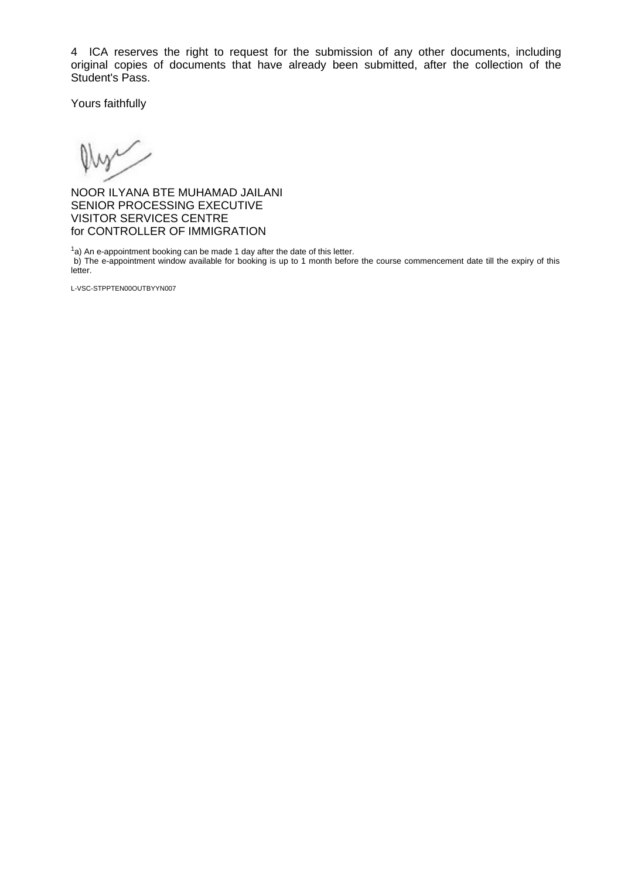4 ICA reserves the right to request for the submission of any other documents, including original copies of documents that have already been submitted, after the collection of the Student's Pass.

Yours faithfully

NOOR ILYANA BTE MUHAMAD JAILANI SENIOR PROCESSING EXECUTIVE VISITOR SERVICES CENTRE for CONTROLLER OF IMMIGRATION

 $1a$ ) An e-appointment booking can be made 1 day after the date of this letter. b) The e-appointment window available for booking is up to 1 month before the course commencement date till the expiry of this letter.

L-VSC-STPPTEN00OUTBYYN007